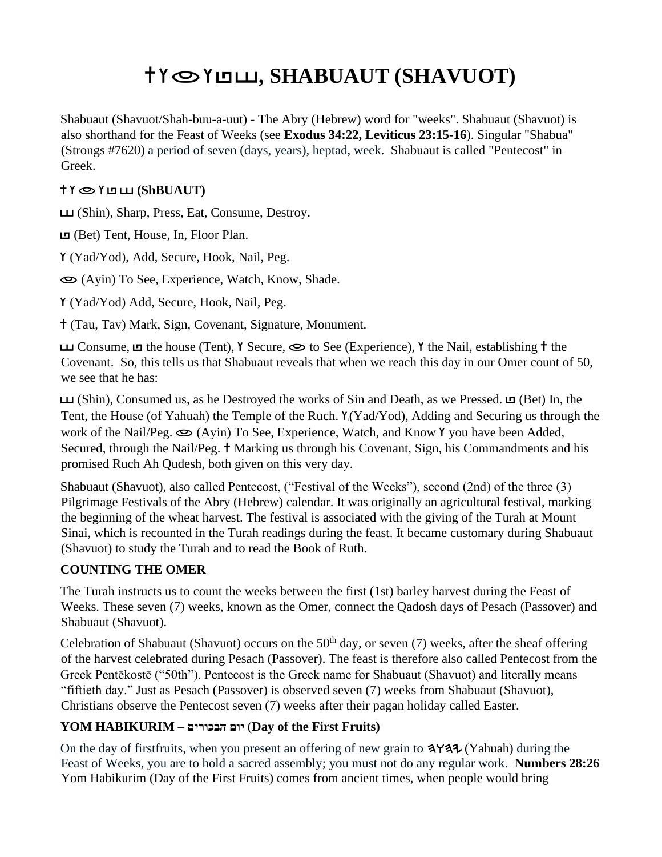# **, SHABUAUT (SHAVUOT)**

Shabuaut (Shavuot/Shah-buu-a-uut) - The Abry (Hebrew) word for "weeks". Shabuaut (Shavuot) is also shorthand for the Feast of Weeks (see **Exodus 34:22, Leviticus 23:15-16**). Singular "Shabua" (Strongs #7620) a period of seven (days, years), heptad, week. Shabuaut is called "Pentecost" in Greek.

### **(ShBUAUT)**

(Shin), Sharp, Press, Eat, Consume, Destroy.

(Bet) Tent, House, In, Floor Plan.

(Yad/Yod), Add, Secure, Hook, Nail, Peg.

(Ayin) To See, Experience, Watch, Know, Shade.

(Yad/Yod) Add, Secure, Hook, Nail, Peg.

(Tau, Tav) Mark, Sign, Covenant, Signature, Monument.

Consume,  $\Box$  the house (Tent), Y Secure,  $\bigcirc$  to See (Experience), Y the Nail, establishing  $\dagger$  the Covenant. So, this tells us that Shabuaut reveals that when we reach this day in our Omer count of 50, we see that he has:

 $\Box$  (Shin), Consumed us, as he Destroyed the works of Sin and Death, as we Pressed.  $\Box$  (Bet) In, the Tent, the House (of Yahuah) the Temple of the Ruch. Y. (Yad/Yod), Adding and Securing us through the work of the Nail/Peg.  $\bigcirc$  (Ayin) To See, Experience, Watch, and Know Y you have been Added, Secured, through the Nail/Peg. <sup>†</sup> Marking us through his Covenant, Sign, his Commandments and his promised Ruch Ah Qudesh, both given on this very day.

Shabuaut (Shavuot), also called Pentecost, ("Festival of the Weeks"), second (2nd) of the three (3) Pilgrimage Festivals of the Abry (Hebrew) calendar. It was originally an agricultural festival, marking the beginning of the wheat harvest. The festival is associated with the giving of the Turah at Mount Sinai, which is recounted in the Turah readings during the feast. It became customary during Shabuaut (Shavuot) to study the Turah and to read the Book of Ruth.

## **COUNTING THE OMER**

The Turah instructs us to count the weeks between the first (1st) barley harvest during the Feast of Weeks. These seven (7) weeks, known as the Omer, connect the Qadosh days of Pesach (Passover) and Shabuaut (Shavuot).

Celebration of Shabuaut (Shavuot) occurs on the  $50<sup>th</sup>$  day, or seven (7) weeks, after the sheaf offering of the harvest celebrated during Pesach (Passover). The feast is therefore also called Pentecost from the Greek Pentēkostē ("50th"). Pentecost is the Greek name for Shabuaut (Shavuot) and literally means "fiftieth day." Just as Pesach (Passover) is observed seven (7) weeks from Shabuaut (Shavuot), Christians observe the Pentecost seven (7) weeks after their pagan holiday called Easter.

## **YOM HABIKURIM – הבכורים יום**) **Day of the First Fruits)**

On the day of first fruits, when you present an offering of new grain to  $\forall$ A $\forall$ 4 $\forall$  (Yahuah) during the Feast of Weeks, you are to hold a sacred assembly; you must not do any regular work. **Numbers 28:26** Yom Habikurim (Day of the First Fruits) comes from ancient times, when people would bring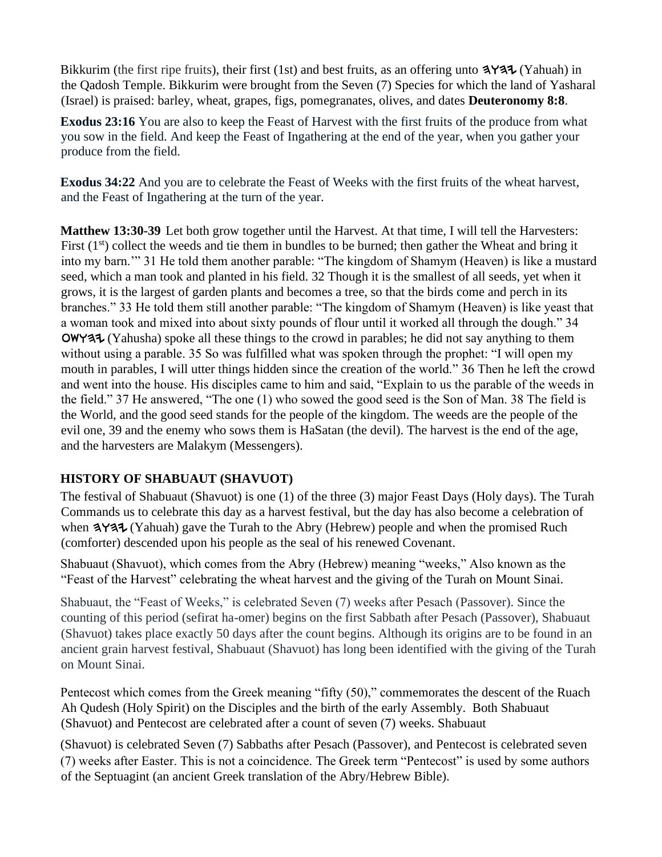Bikkurim (the first ripe fruits), their first (1st) and best fruits, as an offering unto  $\mathbf{3} \mathbf{4} \mathbf{1}$  (Yahuah) in the Qadosh Temple. Bikkurim were brought from the Seven (7) Species for which the land of Yasharal (Israel) is praised: barley, wheat, grapes, figs, pomegranates, olives, and dates **Deuteronomy 8:8**.

**Exodus 23:16** You are also to keep the Feast of Harvest with the first fruits of the produce from what you sow in the field. And keep the Feast of Ingathering at the end of the year, when you gather your produce from the field.

**Exodus 34:22** And you are to celebrate the Feast of Weeks with the first fruits of the wheat harvest, and the Feast of Ingathering at the turn of the year.

**Matthew 13:30-39** Let both grow together until the Harvest. At that time, I will tell the Harvesters: First  $(1<sup>st</sup>)$  collect the weeds and tie them in bundles to be burned; then gather the Wheat and bring it into my barn.'" 31 He told them another parable: "The kingdom of Shamym (Heaven) is like a mustard seed, which a man took and planted in his field. 32 Though it is the smallest of all seeds, yet when it grows, it is the largest of garden plants and becomes a tree, so that the birds come and perch in its branches." 33 He told them still another parable: "The kingdom of Shamym (Heaven) is like yeast that a woman took and mixed into about sixty pounds of flour until it worked all through the dough." 34  $\Delta$  (Yahusha) spoke all these things to the crowd in parables; he did not say anything to them without using a parable. 35 So was fulfilled what was spoken through the prophet: "I will open my mouth in parables, I will utter things hidden since the creation of the world." 36 Then he left the crowd and went into the house. His disciples came to him and said, "Explain to us the parable of the weeds in the field." 37 He answered, "The one (1) who sowed the good seed is the Son of Man. 38 The field is the World, and the good seed stands for the people of the kingdom. The weeds are the people of the evil one, 39 and the enemy who sows them is HaSatan (the devil). The harvest is the end of the age, and the harvesters are Malakym (Messengers).

## **HISTORY OF SHABUAUT (SHAVUOT)**

The festival of Shabuaut (Shavuot) is one (1) of the three (3) major Feast Days (Holy days). The Turah Commands us to celebrate this day as a harvest festival, but the day has also become a celebration of when  $3\frac{1}{4}$  (Yahuah) gave the Turah to the Abry (Hebrew) people and when the promised Ruch (comforter) descended upon his people as the seal of his renewed Covenant.

Shabuaut (Shavuot), which comes from the Abry (Hebrew) meaning "weeks," Also known as the "Feast of the Harvest" celebrating the wheat harvest and the giving of the Turah on Mount Sinai.

Shabuaut, the "Feast of Weeks," is celebrated Seven (7) weeks after Pesach [\(Passover\).](https://www.myjewishlearning.com/holidays/Jewish_Holidays/Passover.shtml) Since the counting of this period [\(sefirat ha-omer\)](https://www.myjewishlearning.com/article/how-to-count-the-omer/) begins on the first Sabbath after Pesach [\(Passover\),](https://www.myjewishlearning.com/holidays/Jewish_Holidays/Passover.shtml) Shabuaut (Shavuot) takes place exactly 50 days after the count begins. Although its origins are to be found in an ancient grain harvest festival, Shabuaut (Shavuot) has long been identified with the giving of the Turah on [Mount Sinai.](https://www.myjewishlearning.com/texts/Bible/Weekly_Torah_Portion/yitro_summary.shtml)

Pentecost which comes from the Greek meaning "fifty (50)," commemorates the descent of the Ruach Ah Qudesh (Holy Spirit) on the Disciples and the birth of the early Assembly. Both Shabuaut (Shavuot) and Pentecost are celebrated after a count of seven (7) weeks. Shabuaut

(Shavuot) is celebrated Seven (7) Sabbaths after Pesach (Passover), and Pentecost is celebrated seven (7) weeks after Easter. This is not a coincidence. The Greek term "Pentecost" is used by some authors of the Septuagint (an ancient Greek translation of the Abry/Hebrew Bible).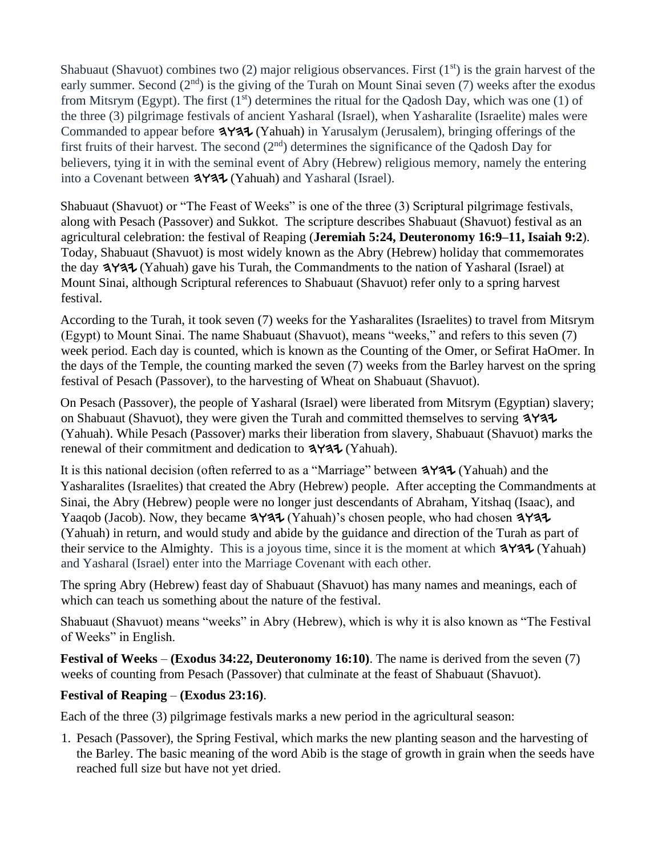Shabuaut (Shavuot) combin[e](https://www.myjewishlearning.com/holidays/Jewish_Holidays/Shavuot/History/Biblical.shtml?HYJH)s tw[o](https://www.myjewishlearning.com/holidays/Jewish_Holidays/Shavuot/History/Biblical.shtml?HYJH)  $(2)$  major religious observances. First  $(1<sup>st</sup>)$  is the [grain harvest](https://www.myjewishlearning.com/holidays/Jewish_Holidays/Shavuot/History/Biblical.shtml?HYJH) of the [e](https://www.myjewishlearning.com/texts/Bible/Weekly_Torah_Portion/bo_summary.shtml)arly summer. Second  $(2<sup>nd</sup>)$  is the [giving of the Turah](https://www.myjewishlearning.com/holidays/Jewish_Holidays/Shavuot/History/Rabbinic.shtml?HYJH) on Mount Sinai seven (7) weeks after the exodus [from Mitsrym \(Egypt\).](https://www.myjewishlearning.com/texts/Bible/Weekly_Torah_Portion/bo_summary.shtml) The first  $(1<sup>st</sup>)$  determines the ritual for the Qadosh Day, which was one (1) of the three (3) [pilgrimage festivals](https://www.myjewishlearning.com/holidays/About_Holidays/Types_of_Holidays/Pilgrimage_Festivals.shtml) [o](https://www.myjewishlearning.com/holidays/About_Holidays/Types_of_Holidays/Pilgrimage_Festivals.shtml)f ancient Yasharal (Israel), when Yasharalite (Israelite) males were Commanded to appear before  $\frac{3 \times 3}{1}$  (Yahuah) in Yarusalym (Jerusalem), bringing offerings of the first fruits of their harvest. The second (2nd) determines the significance of the Qadosh Day for believers, tying it in with the seminal event of Abry (Hebrew) religious memory, namely the entering into a Covenant between  $\frac{4 \times 4}{\sqrt{4 \cdot \pi}}$  (Yahuah) and Yasharal (Israel).

Shabuaut (Shavuot) or "The Feast of Weeks" is one of the three (3) Scriptural pilgrimage festivals, along with Pesach (Passover) and Sukkot. The scripture describes Shabuaut (Shavuot) festival as an agricultural celebration: the festival of Reaping (**Jeremiah 5:24, Deuteronomy 16:9–11, Isaiah 9:2**). Today, Shabuaut (Shavuot) is most widely known as the Abry (Hebrew) holiday that commemorates the day  $\mathbf{3} \mathbf{4} \mathbf{4}$  (Yahuah) gave his Turah, the Commandments to the nation of Yasharal (Israel) at Mount Sinai, although Scriptural references to Shabuaut (Shavuot) refer only to a spring harvest festival.

According to the Turah, it took seven (7) weeks for the Yasharalites (Israelites) to travel from Mitsrym (Egypt) to Mount Sinai. The name Shabuaut (Shavuot), means "weeks," and refers to this seven (7) week period. Each day is counted, which is known as the Counting of the Omer, or Sefirat HaOmer. In the days of the Temple, the counting marked the seven (7) weeks from the Barley harvest on the spring festival of Pesach (Passover), to the harvesting of Wheat on Shabuaut (Shavuot).

On Pesach (Passover), the people of Yasharal (Israel) were liberated from Mitsrym (Egyptian) slavery; on Shabuaut (Shavuot), they were given the Turah and committed themselves to serving  $\frac{4}{4}$ (Yahuah). While Pesach (Passover) marks their liberation from slavery, Shabuaut (Shavuot) marks the renewal of their commitment and dedication to  $3$ Y37 (Yahuah).

It is this national decision (often referred to as a "Marriage" between  $3$  Y $37$  (Yahuah) and the Yasharalites (Israelites) that created the Abry (Hebrew) people. After accepting the Commandments at Sinai, the Abry (Hebrew) people were no longer just descendants of Abraham, Yitshaq (Isaac), and Yaaqob (Jacob). Now, they became  $\frac{314}{4}$  (Yahuah)'s chosen people, who had chosen  $\frac{314}{4}$ (Yahuah) in return, and would study and abide by the guidance and direction of the Turah as part of their service to the Almighty. This is a joyous time, since it is the moment at which  $3Y37$  (Yahuah) and Yasharal (Israel) enter into the Marriage Covenant with each other.

The spring Abry (Hebrew) feast day of Shabuaut (Shavuot) has many names and meanings, each of which can teach us something about the nature of the festival.

Shabuaut (Shavuot) means "weeks" in Abry (Hebrew), which is why it is also known as "The Festival of Weeks" in English.

**Festival of Weeks** – **(Exodus 34:22, Deuteronomy 16:10)**. The name is derived from the seven (7) weeks of counting from Pesach (Passover) that culminate at the feast of Shabuaut (Shavuot).

#### **Festival of Reaping** – **(Exodus 23:16)**.

Each of the three (3) pilgrimage festivals marks a new period in the agricultural season:

1. Pesach (Passover), the Spring Festival, which marks the new planting season and the harvesting of the Barley. The basic meaning of the word Abib is the stage of growth in grain when the seeds have reached full size but have not yet dried.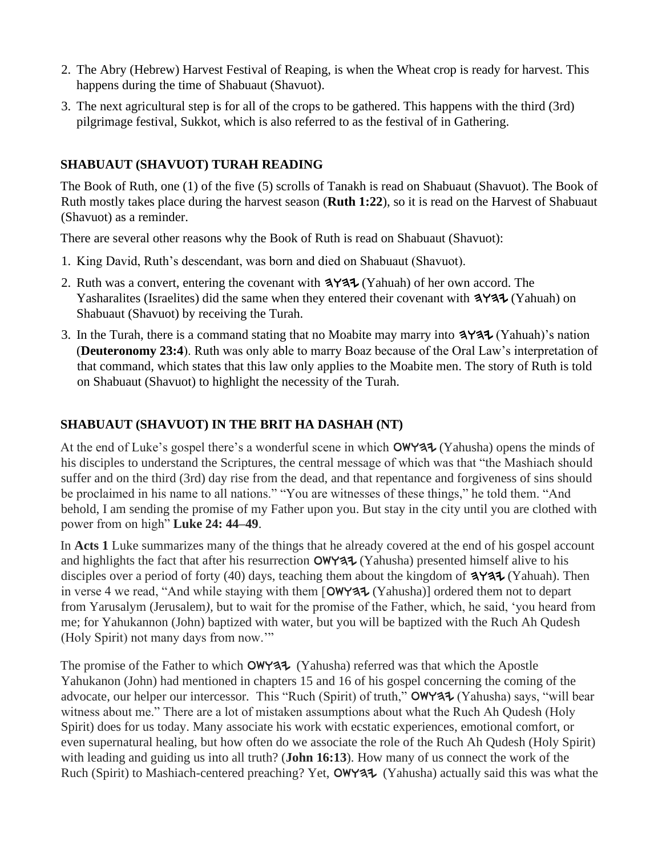- 2. The Abry (Hebrew) Harvest Festival of Reaping, is when the Wheat crop is ready for harvest. This happens during the time of Shabuaut (Shavuot).
- 3. The next agricultural step is for all of the crops to be gathered. This happens with the third (3rd) pilgrimage festival, Sukkot, which is also referred to as the festival of in Gathering.

## **SHABUAUT (SHAVUOT) TURAH READING**

The Book of Ruth, one (1) of the five (5) scrolls of Tanakh is read on Shabuaut (Shavuot). The Book of Ruth mostly takes place during the harvest season (**Ruth 1:22**), so it is read on the Harvest of Shabuaut (Shavuot) as a reminder.

There are several other reasons why the Book of Ruth is read on Shabuaut (Shavuot):

- 1. King David, Ruth's descendant, was born and died on Shabuaut (Shavuot).
- 2. Ruth was a convert, entering the covenant with  $\frac{4}{4}$  (Yahuah) of her own accord. The Yasharalites (Israelites) did the same when they entered their covenant with  $3$ Y $3$ U $\sim$  (Yahuah) on Shabuaut (Shavuot) by receiving the Turah.
- 3. In the Turah, there is a command stating that no Moabite may marry into  $\mathbf{P}^{\mathbf{A}}$  (Yahuah)'s nation (**Deuteronomy 23:4**). Ruth was only able to marry Boaz because of the Oral Law's interpretation of that command, which states that this law only applies to the Moabite men. The story of Ruth is told on Shabuaut (Shavuot) to highlight the necessity of the Turah.

### **SHABUAUT (SHAVUOT) IN THE BRIT HA DASHAH (NT)**

At the end of Luke's gospel there's a wonderful scene in which  $OWY37 (Yahusha)$  opens the minds of his disciples to understand the Scriptures, the central message of which was that "the Mashiach should suffer and on the third (3rd) day rise from the dead, and that repentance and forgiveness of sins should be proclaimed in his name to all nations." "You are witnesses of these things," he told them. "And behold, I am sending the promise of my Father upon you. But stay in the city until you are clothed with power from on high" **Luke 24: 44–49**.

In **Acts 1** Luke summarizes many of the things that he already covered at the end of his gospel account and highlights the fact that after his resurrection  $OWY37 (Yahusha)$  presented himself alive to his disciples over a period of forty (40) days, teaching them about the kingdom of  $\mathbf{A} \mathbf{Y} \mathbf{A} \mathbf{I}$  (Yahuah). Then in verse 4 we read, "And while staying with them  $\lceil$  OWY37 (Yahusha)] ordered them not to depart from Yarusalym (Jerusalem*),* but to wait for the promise of the Father, which, he said, 'you heard from me; for Yahukannon (John) baptized with water, but you will be baptized with the Ruch Ah Qudesh (Holy Spirit) not many days from now.'"

The promise of the Father to which  $OWY37$  (Yahusha) referred was that which the Apostle Yahukanon (John) had mentioned in chapters 15 and 16 of his gospel concerning the coming of the advocate, our helper our intercessor. This "Ruch (Spirit) of truth," **OWYAI** (Yahusha) says, "will bear witness about me." There are a lot of mistaken assumptions about what the Ruch Ah Qudesh (Holy Spirit) does for us today. Many associate his work with ecstatic experiences, emotional comfort, or even supernatural healing, but how often do we associate the role of the Ruch Ah Qudesh (Holy Spirit) with leading and guiding us into all truth? (**John 16:13**). How many of us connect the work of the Ruch (Spirit) to Mashiach-centered preaching? Yet, OWY37 (Yahusha) actually said this was what the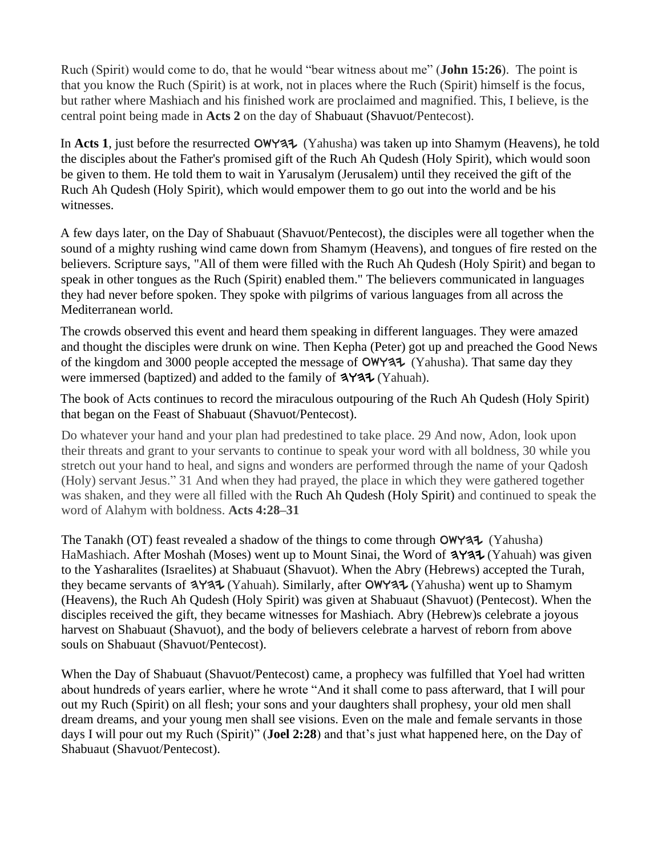Ruch (Spirit) would come to do, that he would "bear witness about me" (**John 15:26**). The point is that you know the Ruch (Spirit) is at work, not in places where the Ruch (Spirit) himself is the focus, but rather where Mashiach and his finished work are proclaimed and magnified. This, I believe, is the central point being made in **Acts 2** on the day of Shabuaut (Shavuot/Pentecost).

In **Acts 1**, just before the resurrected  $OWY37$  (Yahusha) was taken up into Shamym (Heavens), he told the disciples about the Father's promised gift of the Ruch Ah Qudesh (Holy Spirit), which would soon be given to them. He told them to wait in Yarusalym (Jerusalem) until they received the gift of the Ruch Ah Qudesh (Holy Spirit), which would empower them to go out into the world and be his witnesses.

A few days later, on the Day of Shabuaut (Shavuot/Pentecost), the disciples were all together when the sound of a mighty rushing wind came down from Shamym (Heavens), and tongues of fire rested on the believers. Scripture says, "All of them were filled with the Ruch Ah Qudesh (Holy Spirit) and began to speak in other tongues as the Ruch (Spirit) enabled them." The believers communicated in languages they had never before spoken. They spoke with pilgrims of various languages from all across the Mediterranean world.

The crowds observed this event and heard them speaking in different languages. They were amazed and thought the disciples were drunk on wine. Then Kepha (Peter) got up and preached the Good News of the kingdom and 3000 people accepted the message of  $\text{OWY31}$  (Yahusha). That same day they were immersed (baptized) and added to the family of  $\mathbf{P}^{\mathbf{A}}$  (Yahuah).

The book of Acts continues to record the miraculous outpouring of the Ruch Ah Qudesh (Holy Spirit) that began on the Feast of Shabuaut (Shavuot/Pentecost).

Do whatever your hand and your plan had predestined to take place. 29 And now, Adon, look upon their threats and grant to your servants to continue to speak your word with all boldness, 30 while you stretch out your hand to heal, and signs and wonders are performed through the name of your Qadosh (Holy) servant Jesus." 31 And when they had prayed, the place in which they were gathered together was shaken, and they were all filled with the Ruch Ah Qudesh (Holy Spirit) and continued to speak the word of Alahym with boldness. **Acts 4:28–31**

The Tanakh (OT) feast revealed a shadow of the things to come through  $OWY37$  (Yahusha) HaMashiach. After Moshah (Moses) went up to Mount Sinai, the Word of  $\forall$  + (Yahuah) was given to the Yasharalites (Israelites) at Shabuaut (Shavuot). When the Abry (Hebrews) accepted the Turah, they became servants of  $\exists Y \exists \exists$  (Yahuah). Similarly, after  $OWY \exists \exists$  (Yahusha) went up to Shamym (Heavens), the Ruch Ah Qudesh (Holy Spirit) was given at Shabuaut (Shavuot) (Pentecost). When the disciples received the gift, they became witnesses for Mashiach. Abry (Hebrew)s celebrate a joyous harvest on Shabuaut (Shavuot), and the body of believers celebrate a harvest of reborn from above souls on Shabuaut (Shavuot/Pentecost).

When the Day of Shabuaut (Shavuot/Pentecost) came, a prophecy was fulfilled that Yoel had written about hundreds of years earlier, where he wrote "And it shall come to pass afterward, that I will pour out my Ruch (Spirit) on all flesh; your sons and your daughters shall prophesy, your old men shall dream dreams, and your young men shall see visions. Even on the male and female servants in those days I will pour out my Ruch (Spirit)" (**Joel 2:28**) and that's just what happened here, on the Day of Shabuaut (Shavuot/Pentecost).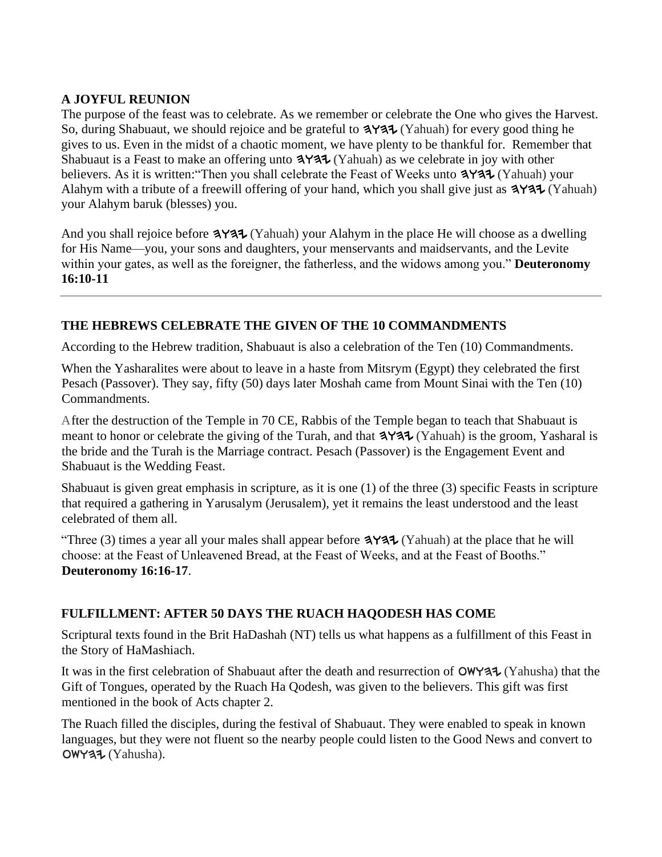#### **A JOYFUL REUNION**

The purpose of the feast was to celebrate. As we remember or celebrate the One who gives the Harvest. So, during Shabuaut, we should rejoice and be grateful to  $\exists$ Y $\exists \forall$  (Yahuah) for every good thing he gives to us. Even in the midst of a chaotic moment, we have plenty to be thankful for. Remember that Shabuaut is a Feast to make an offering unto  $3Y37$  (Yahuah) as we celebrate in joy with other believers. As it is written: "Then you shall celebrate the Feast of Weeks unto  $\mathbf{A} \mathbf{A}$  (Yahuah) your Alahym with a tribute of a freewill offering of your hand, which you shall give just as  $3\frac{4}{3}$  (Yahuah) your Alahym baruk (blesses) you.

And you shall rejoice before  $\mathbf{P} \mathbf{A}$  (Yahuah) your Alahym in the place He will choose as a dwelling for His Name—you, your sons and daughters, your menservants and maidservants, and the Levite within your gates, as well as the foreigner, the fatherless, and the widows among you." **Deuteronomy 16:10-11**

#### **THE HEBREWS CELEBRATE THE GIVEN OF THE 10 COMMANDMENTS**

According to the Hebrew tradition, Shabuaut is also a celebration of the Ten (10) Commandments.

When the Yasharalites were about to leave in a haste from Mitsrym (Egypt) they celebrated the first Pesach (Passover). They say, fifty (50) days later Moshah came from Mount Sinai with the Ten (10) Commandments.

After the destruction of the Temple in 70 CE, Rabbis of the Temple began to teach that Shabuaut is meant to honor or celebrate the giving of the Turah, and that  $3$ Y $3$ U $\tau$  (Yahuah) is the groom, Yasharal is the bride and the Turah is the Marriage contract. Pesach (Passover) is the Engagement Event and Shabuaut is the Wedding Feast.

Shabuaut is given great emphasis in scripture, as it is one (1) of the three (3) specific Feasts in scripture that required a gathering in Yarusalym (Jerusalem), yet it remains the least understood and the least celebrated of them all.

"Three (3) times a year all your males shall appear before  $\exists$ Y $\exists \exists$  (Yahuah) at the place that he will choose: at the Feast of Unleavened Bread, at the Feast of Weeks, and at the Feast of Booths." **Deuteronomy 16:16-17**.

#### **FULFILLMENT: AFTER 50 DAYS THE RUACH HAQODESH HAS COME**

Scriptural texts found in the Brit HaDashah (NT) tells us what happens as a fulfillment of this Feast in the Story of HaMashiach.

It was in the first celebration of Shabuaut after the death and resurrection of  $OWY37$  (Yahusha) that the Gift of Tongues, operated by the Ruach Ha Qodesh, was given to the believers. This gift was first mentioned in the book of Acts chapter 2.

The Ruach filled the disciples, during the festival of Shabuaut. They were enabled to speak in known languages, but they were not fluent so the nearby people could listen to the Good News and convert to  $OWY37 (Yahusha)$ .